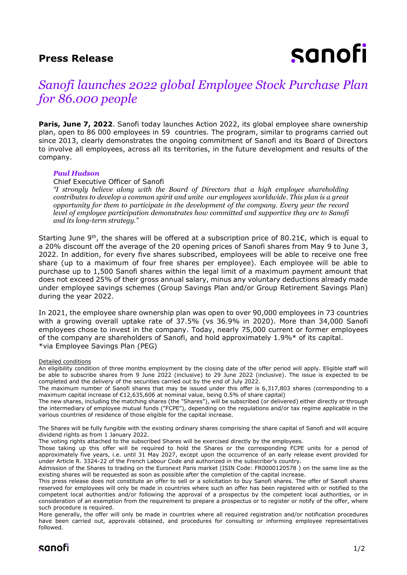### **Press Release**

# sanofi

## *Sanofi launches 2022 global Employee Stock Purchase Plan for 86.000 people*

**Paris, June 7, 2022.** Sanofi today launches Action 2022, its global employee share ownership plan, open to 86 000 employees in 59 countries. The program, similar to programs carried out since 2013, clearly demonstrates the ongoing commitment of Sanofi and its Board of Directors to involve all employees, across all its territories, in the future development and results of the company.

#### *Paul Hudson*

Chief Executive Officer of Sanofi

*"I strongly believe along with the Board of Directors that a high employee shareholding contributes to develop a common spirit and unite our employees worldwide. This plan is a great opportunity for them to participate in the development of the company. Every year the record level of employee participation demonstrates how committed and supportive they are to Sanofi and its long-term strategy."*

Starting June 9<sup>th</sup>, the shares will be offered at a subscription price of 80.21€, which is equal to a 20% discount off the average of the 20 opening prices of Sanofi shares from May 9 to June 3, 2022. In addition, for every five shares subscribed, employees will be able to receive one free share (up to a maximum of four free shares per employee). Each employee will be able to purchase up to 1,500 Sanofi shares within the legal limit of a maximum payment amount that does not exceed 25% of their gross annual salary, minus any voluntary deductions already made under employee savings schemes (Group Savings Plan and/or Group Retirement Savings Plan) during the year 2022.

In 2021, the employee share ownership plan was open to over 90,000 employees in 73 countries with a growing overall uptake rate of 37.5% (vs 36.9% in 2020). More than 34,000 Sanofi employees chose to invest in the company. Today, nearly 75,000 current or former employees of the company are shareholders of Sanofi, and hold approximately 1.9%\* of its capital. \*via Employee Savings Plan (PEG)

Detailed conditions

An eligibility condition of three months employment by the closing date of the offer period will apply. Eligible staff will be able to subscribe shares from 9 June 2022 (inclusive) to 29 June 2022 (inclusive). The issue is expected to be completed and the delivery of the securities carried out by the end of July 2022.

The new shares, including the matching shares (the "Shares"), will be subscribed (or delivered) either directly or through the intermediary of employee mutual funds ("FCPE"), depending on the regulations and/or tax regime applicable in the various countries of residence of those eligible for the capital increase.

The Shares will be fully fungible with the existing ordinary shares comprising the share capital of Sanofi and will acquire dividend rights as from 1 January 2022.

The voting rights attached to the subscribed Shares will be exercised directly by the employees.

Those taking up this offer will be required to hold the Shares or the corresponding FCPE units for a period of approximately five years, i.e. until 31 May 2027, except upon the occurrence of an early release event provided for under Article R. 3324-22 of the French Labour Code and authorized in the subscriber's country.

Admission of the Shares to trading on the Euronext Paris market (ISIN Code: FR0000120578 ) on the same line as the existing shares will be requested as soon as possible after the completion of the capital increase.

This press release does not constitute an offer to sell or a solicitation to buy Sanofi shares. The offer of Sanofi shares reserved for employees will only be made in countries where such an offer has been registered with or notified to the competent local authorities and/or following the approval of a prospectus by the competent local authorities, or in consideration of an exemption from the requirement to prepare a prospectus or to register or notify of the offer, where such procedure is required.

More generally, the offer will only be made in countries where all required registration and/or notification procedures have been carried out, approvals obtained, and procedures for consulting or informing employee representatives followed.



The maximum number of Sanofi shares that may be issued under this offer is 6,317,803 shares (corresponding to a maximum capital increase of €12,635,606 at nominal value, being 0.5% of share capital)